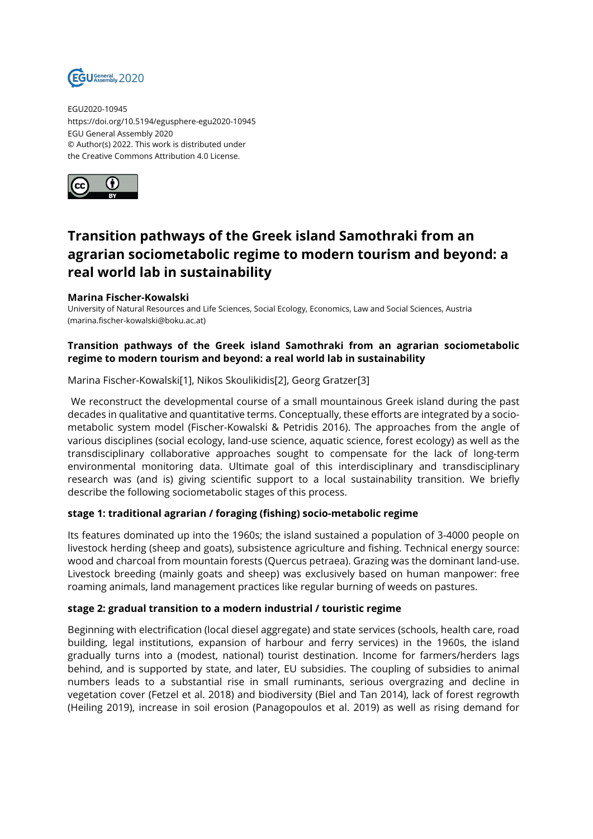

EGU2020-10945 https://doi.org/10.5194/egusphere-egu2020-10945 EGU General Assembly 2020 © Author(s) 2022. This work is distributed under the Creative Commons Attribution 4.0 License.



# **Transition pathways of the Greek island Samothraki from an agrarian sociometabolic regime to modern tourism and beyond: a real world lab in sustainability**

#### **Marina Fischer-Kowalski**

University of Natural Resources and Life Sciences, Social Ecology, Economics, Law and Social Sciences, Austria (marina.fischer-kowalski@boku.ac.at)

## **Transition pathways of the Greek island Samothraki from an agrarian sociometabolic regime to modern tourism and beyond: a real world lab in sustainability**

Marina Fischer-Kowalski[1], Nikos Skoulikidis[2], Georg Gratzer[3]

We reconstruct the developmental course of a small mountainous Greek island during the past decades in qualitative and quantitative terms. Conceptually, these efforts are integrated by a sociometabolic system model (Fischer-Kowalski & Petridis 2016). The approaches from the angle of various disciplines (social ecology, land-use science, aquatic science, forest ecology) as well as the transdisciplinary collaborative approaches sought to compensate for the lack of long-term environmental monitoring data. Ultimate goal of this interdisciplinary and transdisciplinary research was (and is) giving scientific support to a local sustainability transition. We briefly describe the following sociometabolic stages of this process.

### **stage 1: traditional agrarian / foraging (fishing) socio-metabolic regime**

Its features dominated up into the 1960s; the island sustained a population of 3-4000 people on livestock herding (sheep and goats), subsistence agriculture and fishing. Technical energy source: wood and charcoal from mountain forests (Quercus petraea). Grazing was the dominant land-use. Livestock breeding (mainly goats and sheep) was exclusively based on human manpower: free roaming animals, land management practices like regular burning of weeds on pastures.

#### **stage 2: gradual transition to a modern industrial / touristic regime**

Beginning with electrification (local diesel aggregate) and state services (schools, health care, road building, legal institutions, expansion of harbour and ferry services) in the 1960s, the island gradually turns into a (modest, national) tourist destination. Income for farmers/herders lags behind, and is supported by state, and later, EU subsidies. The coupling of subsidies to animal numbers leads to a substantial rise in small ruminants, serious overgrazing and decline in vegetation cover (Fetzel et al. 2018) and biodiversity (Biel and Tan 2014), lack of forest regrowth (Heiling 2019), increase in soil erosion (Panagopoulos et al. 2019) as well as rising demand for